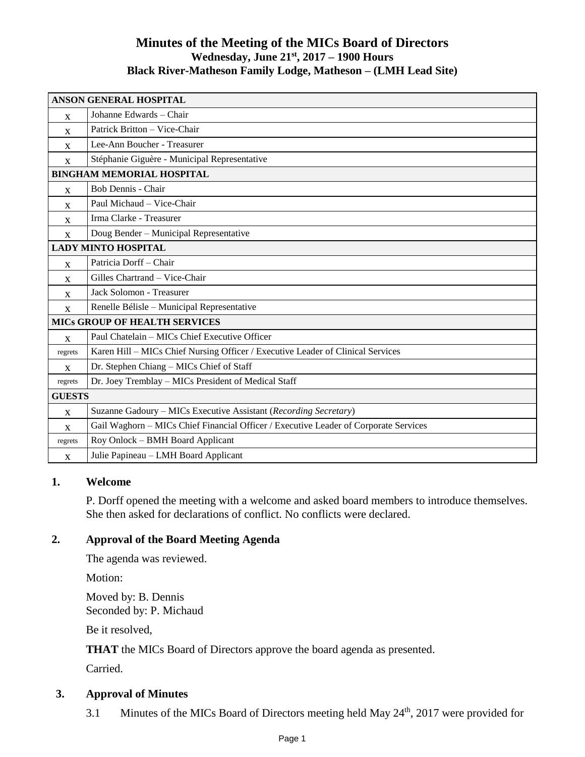# **Minutes of the Meeting of the MICs Board of Directors Wednesday, June 21 st, 2017 – 1900 Hours Black River-Matheson Family Lodge, Matheson – (LMH Lead Site)**

| <b>ANSON GENERAL HOSPITAL</b>        |                                                                                      |
|--------------------------------------|--------------------------------------------------------------------------------------|
| $\mathbf{x}$                         | Johanne Edwards - Chair                                                              |
| $\mathbf{x}$                         | Patrick Britton - Vice-Chair                                                         |
| X                                    | Lee-Ann Boucher - Treasurer                                                          |
| $\mathbf{x}$                         | Stéphanie Giguère - Municipal Representative                                         |
| <b>BINGHAM MEMORIAL HOSPITAL</b>     |                                                                                      |
| $\mathbf{X}$                         | Bob Dennis - Chair                                                                   |
| X                                    | Paul Michaud - Vice-Chair                                                            |
| $\mathbf{X}$                         | Irma Clarke - Treasurer                                                              |
| $\mathbf{X}$                         | Doug Bender - Municipal Representative                                               |
| <b>LADY MINTO HOSPITAL</b>           |                                                                                      |
| $\mathbf{X}$                         | Patricia Dorff - Chair                                                               |
| X                                    | Gilles Chartrand - Vice-Chair                                                        |
| $\mathbf{x}$                         | Jack Solomon - Treasurer                                                             |
| $\mathbf x$                          | Renelle Bélisle - Municipal Representative                                           |
| <b>MICS GROUP OF HEALTH SERVICES</b> |                                                                                      |
| $\mathbf{x}$                         | Paul Chatelain - MICs Chief Executive Officer                                        |
| regrets                              | Karen Hill – MICs Chief Nursing Officer / Executive Leader of Clinical Services      |
| X                                    | Dr. Stephen Chiang - MICs Chief of Staff                                             |
| regrets                              | Dr. Joey Tremblay - MICs President of Medical Staff                                  |
| <b>GUESTS</b>                        |                                                                                      |
| X                                    | Suzanne Gadoury - MICs Executive Assistant (Recording Secretary)                     |
| X                                    | Gail Waghorn - MICs Chief Financial Officer / Executive Leader of Corporate Services |
| regrets                              | Roy Onlock - BMH Board Applicant                                                     |
| X                                    | Julie Papineau - LMH Board Applicant                                                 |

#### **1. Welcome**

P. Dorff opened the meeting with a welcome and asked board members to introduce themselves. She then asked for declarations of conflict. No conflicts were declared.

## **2. Approval of the Board Meeting Agenda**

The agenda was reviewed.

Motion:

Moved by: B. Dennis Seconded by: P. Michaud

Be it resolved,

**THAT** the MICs Board of Directors approve the board agenda as presented.

Carried.

## **3. Approval of Minutes**

3.1 Minutes of the MICs Board of Directors meeting held May 24<sup>th</sup>, 2017 were provided for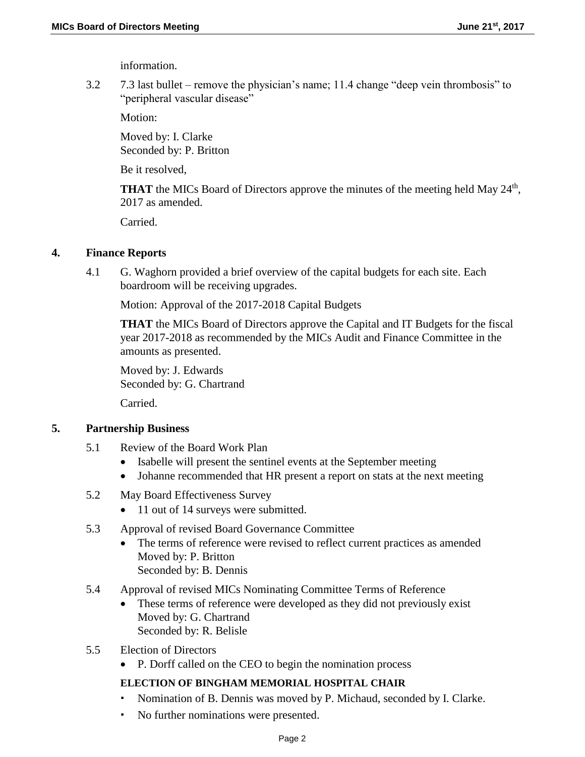information.

3.2 7.3 last bullet – remove the physician's name; 11.4 change "deep vein thrombosis" to "peripheral vascular disease"

Motion:

Moved by: I. Clarke Seconded by: P. Britton

Be it resolved,

THAT the MICs Board of Directors approve the minutes of the meeting held May 24<sup>th</sup>, 2017 as amended.

Carried.

### **4. Finance Reports**

4.1 G. Waghorn provided a brief overview of the capital budgets for each site. Each boardroom will be receiving upgrades.

Motion: Approval of the 2017-2018 Capital Budgets

**THAT** the MICs Board of Directors approve the Capital and IT Budgets for the fiscal year 2017-2018 as recommended by the MICs Audit and Finance Committee in the amounts as presented.

Moved by: J. Edwards Seconded by: G. Chartrand

Carried.

## **5. Partnership Business**

- 5.1 Review of the Board Work Plan
	- Isabelle will present the sentinel events at the September meeting
	- Johanne recommended that HR present a report on stats at the next meeting
- 5.2 May Board Effectiveness Survey
	- 11 out of 14 surveys were submitted.
- 5.3 Approval of revised Board Governance Committee
	- The terms of reference were revised to reflect current practices as amended Moved by: P. Britton Seconded by: B. Dennis
- 5.4 Approval of revised MICs Nominating Committee Terms of Reference
	- These terms of reference were developed as they did not previously exist Moved by: G. Chartrand Seconded by: R. Belisle
- 5.5 Election of Directors
	- P. Dorff called on the CEO to begin the nomination process

## **ELECTION OF BINGHAM MEMORIAL HOSPITAL CHAIR**

- Nomination of B. Dennis was moved by P. Michaud, seconded by I. Clarke.
- No further nominations were presented.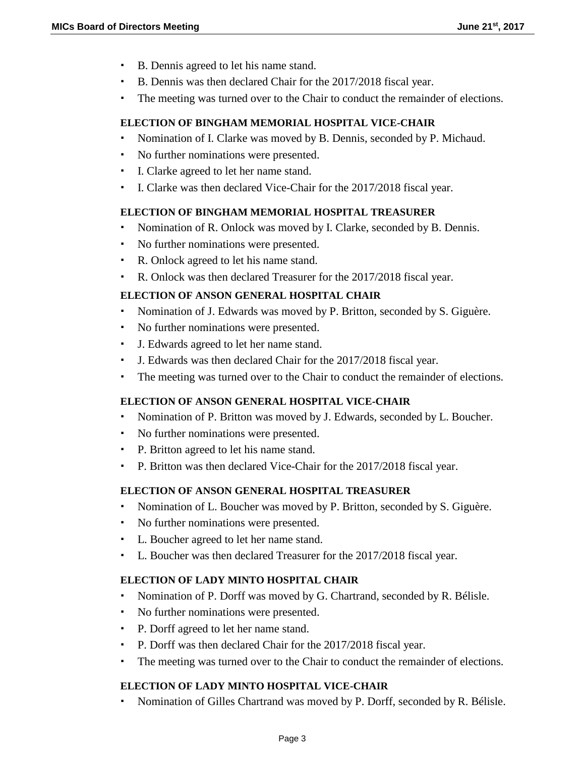- B. Dennis agreed to let his name stand.
- B. Dennis was then declared Chair for the 2017/2018 fiscal year.
- The meeting was turned over to the Chair to conduct the remainder of elections.

### **ELECTION OF BINGHAM MEMORIAL HOSPITAL VICE-CHAIR**

- Nomination of I. Clarke was moved by B. Dennis, seconded by P. Michaud.
- No further nominations were presented.
- I. Clarke agreed to let her name stand.
- I. Clarke was then declared Vice-Chair for the 2017/2018 fiscal year.

#### **ELECTION OF BINGHAM MEMORIAL HOSPITAL TREASURER**

- Nomination of R. Onlock was moved by I. Clarke, seconded by B. Dennis.
- No further nominations were presented.
- R. Onlock agreed to let his name stand.
- R. Onlock was then declared Treasurer for the 2017/2018 fiscal year.

### **ELECTION OF ANSON GENERAL HOSPITAL CHAIR**

- Nomination of J. Edwards was moved by P. Britton, seconded by S. Giguère.
- No further nominations were presented.
- J. Edwards agreed to let her name stand.
- J. Edwards was then declared Chair for the 2017/2018 fiscal year.
- The meeting was turned over to the Chair to conduct the remainder of elections.

## **ELECTION OF ANSON GENERAL HOSPITAL VICE-CHAIR**

- Nomination of P. Britton was moved by J. Edwards, seconded by L. Boucher.
- No further nominations were presented.
- P. Britton agreed to let his name stand.
- P. Britton was then declared Vice-Chair for the 2017/2018 fiscal year.

#### **ELECTION OF ANSON GENERAL HOSPITAL TREASURER**

- Nomination of L. Boucher was moved by P. Britton, seconded by S. Giguère.
- No further nominations were presented.
- L. Boucher agreed to let her name stand.
- L. Boucher was then declared Treasurer for the 2017/2018 fiscal year.

#### **ELECTION OF LADY MINTO HOSPITAL CHAIR**

- Nomination of P. Dorff was moved by G. Chartrand, seconded by R. Bélisle.
- No further nominations were presented.
- P. Dorff agreed to let her name stand.
- P. Dorff was then declared Chair for the 2017/2018 fiscal year.
- The meeting was turned over to the Chair to conduct the remainder of elections.

## **ELECTION OF LADY MINTO HOSPITAL VICE-CHAIR**

Nomination of Gilles Chartrand was moved by P. Dorff, seconded by R. Bélisle.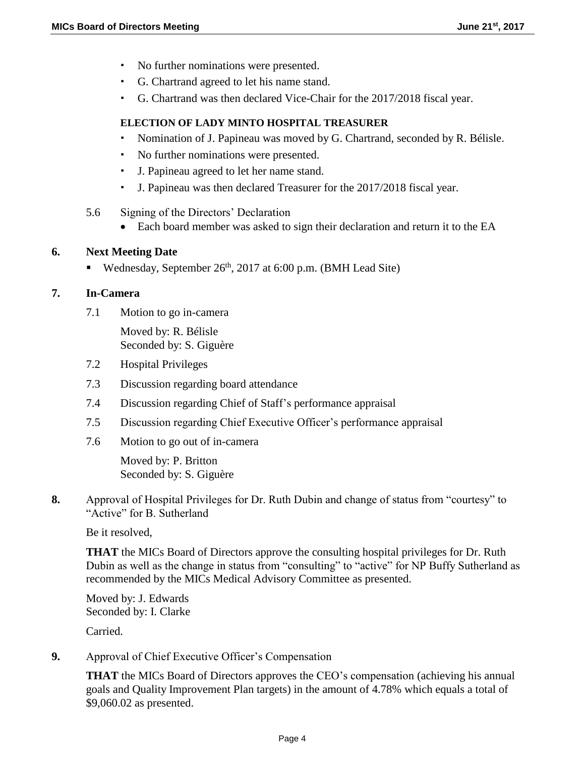- No further nominations were presented.
- G. Chartrand agreed to let his name stand.
- G. Chartrand was then declared Vice-Chair for the 2017/2018 fiscal year.

### **ELECTION OF LADY MINTO HOSPITAL TREASURER**

- Nomination of J. Papineau was moved by G. Chartrand, seconded by R. Bélisle.
- No further nominations were presented.
- J. Papineau agreed to let her name stand.
- J. Papineau was then declared Treasurer for the 2017/2018 fiscal year.
- 5.6 Signing of the Directors' Declaration
	- Each board member was asked to sign their declaration and return it to the EA

### **6. Next Meeting Date**

■ Wednesday, September 26<sup>th</sup>, 2017 at 6:00 p.m. (BMH Lead Site)

### **7. In-Camera**

7.1 Motion to go in-camera

Moved by: R. Bélisle Seconded by: S. Giguère

- 7.2 Hospital Privileges
- 7.3 Discussion regarding board attendance
- 7.4 Discussion regarding Chief of Staff's performance appraisal
- 7.5 Discussion regarding Chief Executive Officer's performance appraisal
- 7.6 Motion to go out of in-camera

Moved by: P. Britton Seconded by: S. Giguère

**8.** Approval of Hospital Privileges for Dr. Ruth Dubin and change of status from "courtesy" to "Active" for B. Sutherland

Be it resolved,

**THAT** the MICs Board of Directors approve the consulting hospital privileges for Dr. Ruth Dubin as well as the change in status from "consulting" to "active" for NP Buffy Sutherland as recommended by the MICs Medical Advisory Committee as presented.

Moved by: J. Edwards Seconded by: I. Clarke

Carried.

**9.** Approval of Chief Executive Officer's Compensation

**THAT** the MICs Board of Directors approves the CEO's compensation (achieving his annual goals and Quality Improvement Plan targets) in the amount of 4.78% which equals a total of \$9,060.02 as presented.